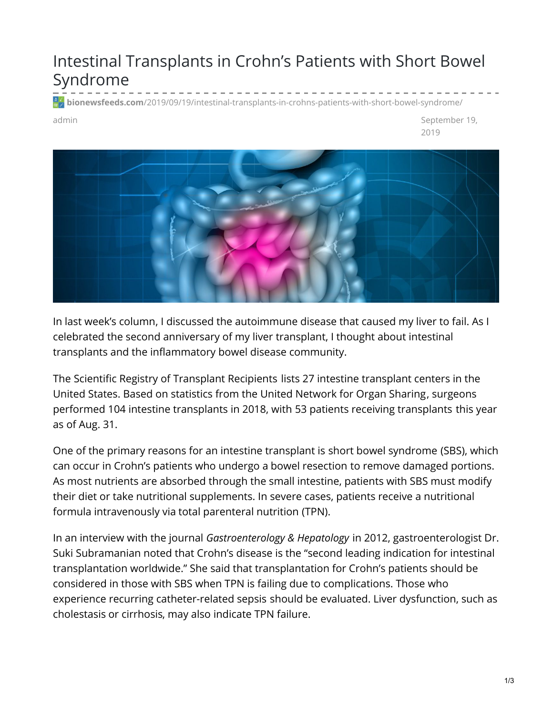## Intestinal Transplants in Crohn's Patients with Short Bowel Syndrome

**bionewsfeeds.com**[/2019/09/19/intestinal-transplants-in-crohns-patients-with-short-bowel-syndrome/](https://bionewsfeeds.com/2019/09/19/intestinal-transplants-in-crohns-patients-with-short-bowel-syndrome/)

admin September 19, 2019



In last week's [column](https://ibdnewstoday.com/2019/09/12/transplant-liver-donor/), I discussed the autoimmune disease that caused my liver to fail. As I celebrated the second anniversary of my liver transplant, I thought about intestinal transplants and the inflammatory bowel disease community.

The Scientific Registry of [Transplant](https://www.srtr.org/transplant-centers/?organ=intestine) Recipients lists 27 intestine transplant centers in the United States. Based on statistics from the United [Network](https://unos.org/data/transplant-trends/) for Organ Sharing, surgeons performed 104 intestine transplants in 2018, with 53 patients receiving [transplants](https://optn.transplant.hrsa.gov/data/view-data-reports/national-data/) this year as of Aug. 31.

One of the primary reasons for an intestine transplant is short bowel [syndrome](https://www.mayoclinic.org/diseases-conditions/short-bowel-syndrome/symptoms-causes/syc-20355091) (SBS), which can occur in Crohn's patients who undergo a bowel [resection](https://www.crohnscolitisfoundation.org/what-is-crohns-disease/treatment/surgery/small-large-bowel-resection) to remove damaged portions. As most nutrients are absorbed through the small intestine, patients with SBS must modify their diet or take nutritional supplements. In severe cases, patients receive a nutritional formula intravenously via total [parenteral](https://medlineplus.gov/ency/patientinstructions/000177.htm) nutrition (TPN).

In an interview with the journal *[Gastroenterology](https://www.ncbi.nlm.nih.gov/pmc/articles/PMC3533214/) & Hepatology* in 2012, gastroenterologist Dr. Suki Subramanian noted that Crohn's disease is the "second leading indication for intestinal transplantation worldwide." She said that transplantation for Crohn's patients should be considered in those with SBS when TPN is failing due to complications. Those who experience recurring [catheter-related](https://www.ncbi.nlm.nih.gov/pmc/articles/PMC4093967/) sepsis should be evaluated. Liver dysfunction, such as [cholestasis](https://medlineplus.gov/ency/article/000215.htm) or [cirrhosis](https://www.mayoclinic.org/diseases-conditions/cirrhosis/symptoms-causes/syc-20351487), may also indicate TPN failure.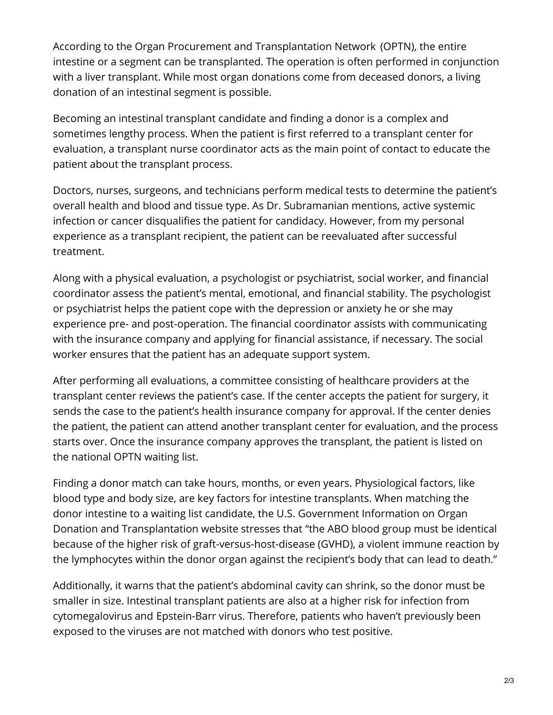According to the Organ Procurement and [Transplantation](https://optn.transplant.hrsa.gov/data/organ-datasource/Intestine/) Network (OPTN), the entire intestine or a segment can be transplanted. The operation is often performed in conjunction with a liver transplant. While most organ donations come from deceased donors, a living donation of an intestinal segment is possible.

Becoming an intestinal transplant candidate and finding a donor is a [complex](https://www.organdonor.gov/about/process/transplant-process.html) and sometimes lengthy process. When the patient is first referred to a transplant center for evaluation, a transplant nurse [coordinator](https://my.clevelandclinic.org/departments/transplant/programs/intestine/process) acts as the main point of contact to educate the patient about the transplant process.

Doctors, nurses, surgeons, and technicians perform medical tests to determine the patient's overall health and blood and tissue type. As Dr. Subramanian mentions, active systemic infection or cancer disqualifies the patient for candidacy. However, from my personal experience as a transplant recipient, the patient can be reevaluated after successful treatment.

Along with a physical evaluation, a psychologist or psychiatrist, social worker, and financial coordinator assess the patient's mental, emotional, and financial stability. The psychologist or psychiatrist helps the patient cope with the depression or anxiety he or she may experience pre- and post-operation. The financial coordinator assists with communicating with the insurance company and applying for financial assistance, if necessary. The social worker ensures that the patient has an adequate support system.

After performing all evaluations, a committee consisting of healthcare providers at the transplant center reviews the patient's case. If the center accepts the patient for surgery, it sends the case to the patient's health insurance company for approval. If the center denies the patient, the patient can attend another transplant center for evaluation, and the process starts over. Once the insurance company approves the transplant, the patient is listed on the national OPTN waiting list.

Finding a donor match can take hours, months, or even years. Physiological factors, like blood type and body size, are key factors for intestine transplants. When matching the donor intestine to a waiting list candidate, the U.S. Government Information on Organ Donation and Transplantation website [stresses](https://www.organdonor.gov/about/process/matching.html) that "the ABO blood group must be identical because of the higher risk of graft-versus-host-disease (GVHD), a violent immune reaction by the lymphocytes within the donor organ against the recipient's body that can lead to death."

Additionally, it warns that the patient's abdominal cavity can shrink, so the donor must be smaller in size. Intestinal transplant patients are also at a higher risk for infection from [cytomegalovirus](https://www.mayoclinic.org/diseases-conditions/cmv/symptoms-causes/syc-20355358) and [Epstein-Barr](https://www.cdc.gov/epstein-barr/about-ebv.html) virus. Therefore, patients who haven't previously been exposed to the viruses are not matched with donors who test positive.